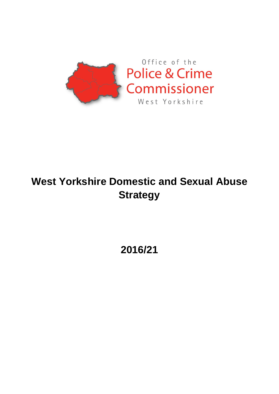

# **West Yorkshire Domestic and Sexual Abuse Strategy**

**2016/21**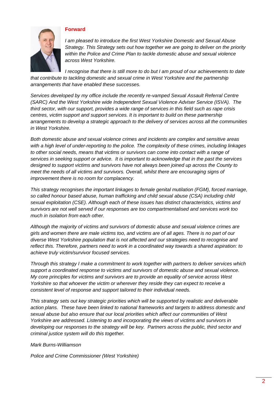

## **Forward**

*I am pleased to introduce the first West Yorkshire Domestic and Sexual Abuse Strategy. This Strategy sets out how together we are going to deliver on the priority within the Police and Crime Plan to tackle domestic abuse and sexual violence across West Yorkshire.*

*I recognise that there is still more to do but I am proud of our achievements to date that contribute to tackling domestic and sexual crime in West Yorkshire and the partnership arrangements that have enabled these successes.* 

*Services developed by my office include the recently re-vamped Sexual Assault Referral Centre (SARC) And the West Yorkshire wide Independent Sexual Violence Adviser Service (ISVA). The third sector, with our support, provides a wide range of services in this field such as rape crisis centres, victim support and support services. It is important to build on these partnership arrangements to develop a strategic approach to the delivery of services across all the communities in West Yorkshire.* 

*Both domestic abuse and sexual violence crimes and incidents are complex and sensitive areas with a high level of under-reporting to the police. The complexity of these crimes, including linkages to other social needs, means that victims or survivors can come into contact with a range of services in seeking support or advice. It is important to acknowledge that in the past the services designed to support victims and survivors have not always been joined up across the County to meet the needs of all victims and survivors. Overall, whilst there are encouraging signs of improvement there is no room for complacency.* 

*This strategy recognises the important linkages to female genital mutilation (FGM), forced marriage, so called honour based abuse, human trafficking and child sexual abuse (CSA) including child sexual exploitation (CSE). Although each of these issues has distinct characteristics, victims and survivors are not well served if our responses are too compartmentalised and services work too much in isolation from each other.* 

*Although the majority of victims and survivors of domestic abuse and sexual violence crimes are girls and women there are male victims too, and victims are of all ages. There is no part of our diverse West Yorkshire population that is not affected and our strategies need to recognise and reflect this. Therefore, partners need to work in a coordinated way towards a shared aspiration: to achieve truly victim/survivor focused services.* 

*Through this strategy I make a commitment to work together with partners to deliver services which support a coordinated response to victims and survivors of domestic abuse and sexual violence. My core principles for victims and survivors are to provide an equality of service across West Yorkshire so that whoever the victim or wherever they reside they can expect to receive a consistent level of response and support tailored to their individual needs.* 

*This strategy sets out key strategic priorities which will be supported by realistic and deliverable action plans. These have been linked to national frameworks and targets to address domestic and sexual abuse but also ensure that our local priorities which affect our communities of West Yorkshire are addressed. Listening to and incorporating the views of victims and survivors in developing our responses to the strategy will be key. Partners across the public, third sector and criminal justice system will do this together.* 

## *Mark Burns-Williamson*

*Police and Crime Commissioner (West Yorkshire)*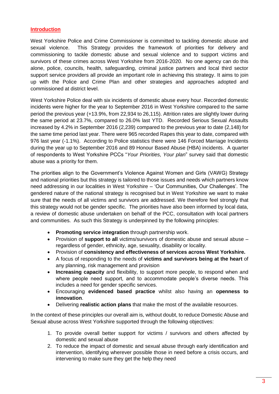# **Introduction**

West Yorkshire Police and Crime Commissioner is committed to tackling domestic abuse and sexual violence. This Strategy provides the framework of priorities for delivery and commissioning to tackle domestic abuse and sexual violence and to support victims and survivors of these crimes across West Yorkshire from 2016-2020. No one agency can do this alone, police, councils, health, safeguarding, criminal justice partners and local third sector support service providers all provide an important role in achieving this strategy. It aims to join up with the Police and Crime Plan and other strategies and approaches adopted and commissioned at district level.

West Yorkshire Police deal with six incidents of domestic abuse every hour. Recorded domestic incidents were higher for the year to September 2016 in West Yorkshire compared to the same period the previous year (+13.9%, from 22,934 to 26,115). Attrition rates are slightly lower during the same period at 23.7%, compared to 26.0% last YTD. Recorded Serious Sexual Assaults increased by 4.2% in September 2016 (2,239) compared to the previous year to date (2,148) for the same time period last year. There were 965 recorded Rapes this year to date, compared with 976 last year (-1.1%). According to Police statistics there were 146 Forced Marriage Incidents during the year up to September 2016 and 89 Honour Based Abuse (HBA) incidents. A quarter of respondents to West Yorkshire PCCs "*Your Priorities, Your plan*" survey said that domestic abuse was a priority for them.

The priorities align to the Government's Violence Against Women and Girls (VAWG) Strategy and national priorities but this strategy is tailored to those issues and needs which partners know need addressing in our localities in West Yorkshire – 'Our Communities, Our Challenges'. The gendered nature of the national strategy is recognised but in West Yorkshire we want to make sure that the needs of all victims and survivors are addressed. We therefore feel strongly that this strategy would not be gender specific. The priorities have also been informed by local data, a review of domestic abuse undertaken on behalf of the PCC, consultation with local partners and communities. As such this Strategy is underpinned by the following principles:

- **Promoting service integration** through partnership work.
- Provision of **support to all** victims/survivors of domestic abuse and sexual abuse regardless of gender, ethnicity, age, sexuality, disability or locality.
- Provision of **consistency and effectiveness of services across West Yorkshire.**
- A focus of responding to the needs of **victims and survivors being at the heart** of any planning, risk management and provision
- **Increasing capacity** and flexibility, to support more people, to respond when and where people need support, and to accommodate people's diverse needs. This includes a need for gender specific services.
- Encouraging **evidenced based practice** whilst also having an **openness to innovation**.
- Delivering **realistic action plans** that make the most of the available resources.

In the context of these principles our overall aim is, without doubt, to reduce Domestic Abuse and Sexual abuse across West Yorkshire supported through the following objectives:

- 1. To provide overall better support for victims / survivors and others affected by domestic and sexual abuse
- 2. To reduce the impact of domestic and sexual abuse through early identification and intervention, identifying wherever possible those in need before a crisis occurs, and intervening to make sure they get the help they need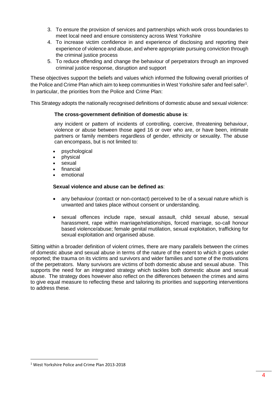- 3. To ensure the provision of services and partnerships which work cross boundaries to meet local need and ensure consistency across West Yorkshire
- 4. To increase victim confidence in and experience of disclosing and reporting their experience of violence and abuse, and where appropriate pursuing conviction through the criminal justice process
- 5. To reduce offending and change the behaviour of perpetrators through an improved criminal justice response, disruption and support

These objectives support the beliefs and values which informed the following overall priorities of the Police and Crime Plan which aim to keep communities in West Yorkshire safer and feel safer<sup>1</sup>. In particular, the priorities from the Police and Crime Plan:

This Strategy adopts the nationally recognised definitions of domestic abuse and sexual violence:

## **The cross-government definition of domestic abuse is**:

any incident or pattern of incidents of controlling, coercive, threatening behaviour, violence or abuse between those aged 16 or over who are, or have been, intimate partners or family members regardless of gender, ethnicity or sexuality. The abuse can encompass, but is not limited to:

- psychological
- physical
- sexual
- financial
- emotional

#### **Sexual violence and abuse can be defined as**:

- any behaviour (contact or non-contact) perceived to be of a sexual nature which is unwanted and takes place without consent or understanding.
- sexual offences include rape, sexual assault, child sexual abuse, sexual harassment, rape within marriage/relationships, forced marriage, so-call honour based violence/abuse; female genital mutilation, sexual exploitation, trafficking for sexual exploitation and organised abuse.

Sitting within a broader definition of violent crimes, there are many parallels between the crimes of domestic abuse and sexual abuse in terms of the nature of the extent to which it goes under reported; the trauma on its victims and survivors and wider families and some of the motivations of the perpetrators. Many survivors are victims of both domestic abuse and sexual abuse. This supports the need for an integrated strategy which tackles both domestic abuse and sexual abuse. The strategy does however also reflect on the differences between the crimes and aims to give equal measure to reflecting these and tailoring its priorities and supporting interventions to address these.

l

<sup>1</sup> West Yorkshire Police and Crime Plan 2013-2018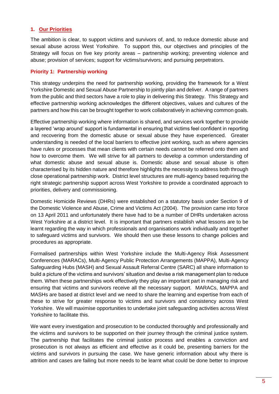# **1. Our Priorities**

The ambition is clear, to support victims and survivors of, and, to reduce domestic abuse and sexual abuse across West Yorkshire. To support this, our objectives and principles of the Strategy will focus on five key priority areas – partnership working; preventing violence and abuse; provision of services; support for victims/survivors; and pursuing perpetrators.

## **Priority 1: Partnership working**

This strategy underpins the need for partnership working, providing the framework for a West Yorkshire Domestic and Sexual Abuse Partnership to jointly plan and deliver. A range of partners from the public and third sectors have a role to play in delivering this Strategy. This Strategy and effective partnership working acknowledges the different objectives, values and cultures of the partners and how this can be brought together to work collaboratively in achieving common goals.

Effective partnership working where information is shared, and services work together to provide a layered 'wrap around' support is fundamental in ensuring that victims feel confident in reporting and recovering from the domestic abuse or sexual abuse they have experienced. Greater understanding is needed of the local barriers to effective joint working, such as where agencies have rules or processes that mean clients with certain needs cannot be referred onto them and how to overcome them. We will strive for all partners to develop a common understanding of what domestic abuse and sexual abuse is. Domestic abuse and sexual abuse is often characterised by its hidden nature and therefore highlights the necessity to address both through close operational partnership work. District level structures are multi-agency based requiring the right strategic partnership support across West Yorkshire to provide a coordinated approach to priorities, delivery and commissioning.

Domestic Homicide Reviews (DHRs) were established on a statutory basis under Section 9 of the Domestic Violence and Abuse, Crime and Victims Act (2004). The provision came into force on 13 April 2011 and unfortunately there have had to be a number of DHRs undertaken across West Yorkshire at a district level. It is important that partners establish what lessons are to be learnt regarding the way in which professionals and organisations work individually and together to safeguard victims and survivors. We should then use these lessons to change policies and procedures as appropriate.

Formalised partnerships within West Yorkshire include the Multi-Agency Risk Assessment Conferences (MARACs), Multi-Agency Public Protection Arrangements (MAPPA), Multi-Agency Safeguarding Hubs (MASH) and Sexual Assault Referral Centre (SARC) all share information to build a picture of the victims and survivors' situation and devise a risk management plan to reduce them. When these partnerships work effectively they play an important part in managing risk and ensuring that victims and survivors receive all the necessary support. MARACs, MAPPA and MASHs are based at district level and we need to share the learning and expertise from each of these to strive for greater response to victims and survivors and consistency across West Yorkshire. We will maximise opportunities to undertake joint safeguarding activities across West Yorkshire to facilitate this.

We want every investigation and prosecution to be conducted thoroughly and professionally and the victims and survivors to be supported on their journey through the criminal justice system. The partnership that facilitates the criminal justice process and enables a conviction and prosecution is not always as efficient and effective as it could be, presenting barriers for the victims and survivors in pursuing the case. We have generic information about why there is attrition and cases are failing but more needs to be learnt what could be done better to improve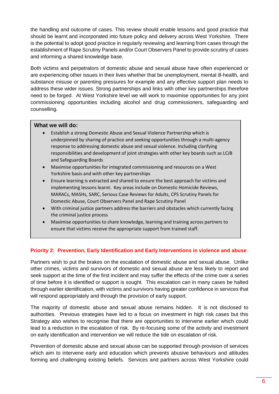the handling and outcome of cases. This review should enable lessons and good practice that should be learnt and incorporated into future policy and delivery across West Yorkshire. There is the potential to adopt good practice in regularly reviewing and learning from cases through the establishment of Rape Scrutiny Panels and/or Court Observers Panel to provide scrutiny of cases and informing a shared knowledge base.

Both victims and perpetrators of domestic abuse and sexual abuse have often experienced or are experiencing other issues in their lives whether that be unemployment, mental ill-health, and substance misuse or parenting pressures for example and any effective support plan needs to address these wider issues. Strong partnerships and links with other key partnerships therefore need to be forged. At West Yorkshire level we will work to maximise opportunities for any joint commissioning opportunities including alcohol and drug commissioners, safeguarding and counselling.

# **What we will do:**

- Establish a strong Domestic Abuse and Sexual Violence Partnership which is underpinned by sharing of practice and seeking opportunities through a multi-agency response to addressing domestic abuse and sexual violence. Including clarifying responsibilities and development of joint strategies with other key boards such as LCJB and Safeguarding Boards
- Maximise opportunities for integrated commissioning and resources on a West Yorkshire basis and with other key partnerships
- Ensure learning is extracted and shared to ensure the best approach for victims and implementing lessons learnt. Key areas include on Domestic Homicide Reviews, MARACs, MASHs, SARC, Serious Case Reviews for Adults, CPS Scrutiny Panels for Domestic Abuse, Court Observers Panel and Rape Scrutiny Panel
- With criminal justice partners address the barriers and obstacles which currently facing the criminal justice process
- Maximise opportunities to share knowledge, learning and training across partners to ensure that victims receive the appropriate support from trained staff.

# **Priority 2: Prevention, Early Identification and Early Interventions in violence and abuse**

Partners wish to put the brakes on the escalation of domestic abuse and sexual abuse. Unlike other crimes, victims and survivors of domestic and sexual abuse are less likely to report and seek support at the time of the first incident and may suffer the effects of the crime over a series of time before it is identified or support is sought. This escalation can in many cases be halted through earlier identification, with victims and survivors having greater confidence in services that will respond appropriately and through the provision of early support.

The majority of domestic abuse and sexual abuse remains hidden. It is not disclosed to authorities. Previous strategies have led to a focus on investment in high risk cases but this Strategy also wishes to recognise that there are opportunities to intervene earlier which could lead to a reduction in the escalation of risk. By re-focusing some of the activity and investment on early identification and intervention we will reduce the tide on escalation of risk.

Prevention of domestic abuse and sexual abuse can be supported through provision of services which aim to intervene early and education which prevents abusive behaviours and attitudes forming and challenging existing beliefs. Services and partners across West Yorkshire could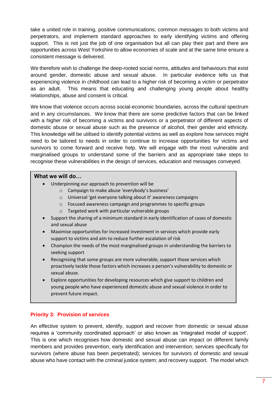take a united role in training, positive communications, common messages to both victims and perpetrators, and implement standard approaches to early identifying victims and offering support. This is not just the job of one organisation but all can play their part and there are opportunities across West Yorkshire to allow economies of scale and at the same time ensure a consistent message is delivered.

We therefore wish to challenge the deep-rooted social norms, attitudes and behaviours that exist around gender, domestic abuse and sexual abuse. In particular evidence tells us that experiencing violence in childhood can lead to a higher risk of becoming a victim or perpetrator as an adult. This means that educating and challenging young people about healthy relationships, abuse and consent is critical.

We know that violence occurs across social-economic boundaries, across the cultural spectrum and in any circumstances. We know that there are some predictive factors that can be linked with a higher risk of becoming a victims and survivors or a perpetrator of different aspects of domestic abuse or sexual abuse such as the presence of alcohol, their gender and ethnicity. This knowledge will be utilised to identify potential victims as well as explore how services might need to be tailored to needs in order to continue to increase opportunities for victims and survivors to come forward and receive help. We will engage with the most vulnerable and marginalised groups to understand some of the barriers and as appropriate take steps to recognise these vulnerabilities in the design of services, education and messages conveyed.

# **What we will do…**

- Underpinning our approach to prevention will be
	- o Campaign to make abuse 'everybody's business'
	- o Universal 'get everyone talking about it' awareness campaigns
	- o Focused awareness campaign and programmes to specific groups
	- o Targeted work with particular vulnerable groups
- Support the sharing of a minimum standard in early identification of cases of domestic and sexual abuse
- Maximise opportunities for increased investment in services which provide early support to victims and aim to reduce further escalation of risk
- Champion the needs of the most marginalised groups in understanding the barriers to seeking support
- Recognising that some groups are more vulnerable, support those services which proactively tackle those factors which increases a person's vulnerability to domestic or sexual abuse.
- Explore opportunities for developing resources which give support to children and young people who have experienced domestic abuse and sexual violence in order to prevent future impact.

# **Priority 3: Provision of services**

An effective system to prevent, identify, support and recover from domestic or sexual abuse requires a 'community coordinated approach' or also known as 'integrated model of support'. This is one which recognises how domestic and sexual abuse can impact on different family members and provides prevention, early identification and intervention; services specifically for survivors (where abuse has been perpetrated); services for survivors of domestic and sexual abuse who have contact with the criminal justice system; and recovery support. The model which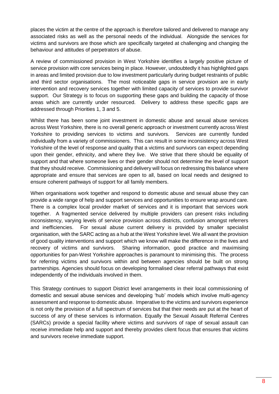places the victim at the centre of the approach is therefore tailored and delivered to manage any associated risks as well as the personal needs of the individual. Alongside the services for victims and survivors are those which are specifically targeted at challenging and changing the behaviour and attitudes of perpetrators of abuse.

A review of commissioned provision in West Yorkshire identifies a largely positive picture of service provision with core services being in place. However, undoubtedly it has highlighted gaps in areas and limited provision due to low investment particularly during budget restraints of public and third sector organisations. The most noticeable gaps in service provision are in early intervention and recovery services together with limited capacity of services to provide survivor support. Our Strategy is to focus on supporting these gaps and building the capacity of those areas which are currently under resourced. Delivery to address these specific gaps are addressed through Priorities 1, 3 and 5.

Whilst there has been some joint investment in domestic abuse and sexual abuse services across West Yorkshire, there is no overall generic approach or investment currently across West Yorkshire to providing services to victims and survivors. Services are currently funded individually from a variety of commissioners. This can result in some inconsistency across West Yorkshire of the level of response and quality that a victims and survivors can expect depending upon their gender, ethnicity, and where they live. We strive that there should be equality of support and that where someone lives or their gender should not determine the level of support that they should receive. Commissioning and delivery will focus on redressing this balance where appropriate and ensure that services are open to all, based on local needs and designed to ensure coherent pathways of support for all family members.

When organisations work together and respond to domestic abuse and sexual abuse they can provide a wide range of help and support services and opportunities to ensure wrap around care. There is a complex local provider market of services and it is important that services work together. A fragmented service delivered by multiple providers can present risks including inconsistency, varying levels of service provision across districts, confusion amongst referrers and inefficiencies. For sexual abuse current delivery is provided by smaller specialist organisation, with the SARC acting as a hub at the West Yorkshire level. We all want the provision of good quality interventions and support which we know will make the difference in the lives and recovery of victims and survivors. Sharing information, good practice and maximising opportunities for pan-West Yorkshire approaches is paramount to minimising this. The process for referring victims and survivors within and between agencies should be built on strong partnerships. Agencies should focus on developing formalised clear referral pathways that exist independently of the individuals involved in them.

This Strategy continues to support District level arrangements in their local commissioning of domestic and sexual abuse services and developing 'hub' models which involve multi-agency assessment and response to domestic abuse. Imperative to the victims and survivors experience is not only the provision of a full spectrum of services but that their needs are put at the heart of success of any of these services is information. Equally the Sexual Assault Referral Centres (SARCs) provide a special facility where victims and survivors of rape of sexual assault can receive immediate help and support and thereby provides client focus that ensures that victims and survivors receive immediate support.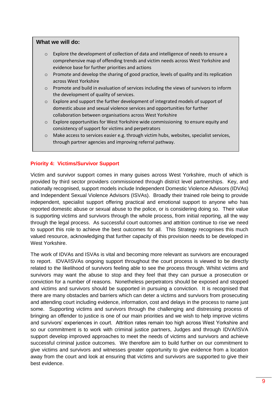## **What we will do:**

- $\circ$  Explore the development of collection of data and intelligence of needs to ensure a comprehensive map of offending trends and victim needs across West Yorkshire and evidence base for further priorities and actions
- o Promote and develop the sharing of good practice, levels of quality and its replication across West Yorkshire
- o Promote and build in evaluation of services including the views of survivors to inform the development of quality of services.
- $\circ$  Explore and support the further development of integrated models of support of domestic abuse and sexual violence services and opportunities for further collaboration between organisations across West Yorkshire
- $\circ$  Explore opportunities for West Yorkshire wide commissioning to ensure equity and consistency of support for victims and perpetrators
- o Make access to services easier e.g. through victim hubs, websites, specialist services, through partner agencies and improving referral pathway.

## **Priority 4: Victims/Survivor Support**

Victim and survivor support comes in many guises across West Yorkshire, much of which is provided by third sector providers commissioned through district level partnerships. Key, and nationally recognised, support models include Independent Domestic Violence Advisors (IDVAs) and Independent Sexual Violence Advisors (ISVAs). Broadly their trained role being to provide independent, specialist support offering practical and emotional support to anyone who has reported domestic abuse or sexual abuse to the police, or is considering doing so. Their value is supporting victims and survivors through the whole process, from initial reporting, all the way through the legal process. As successful court outcomes and attrition continue to rise we need to support this role to achieve the best outcomes for all. This Strategy recognises this much valued resource, acknowledging that further capacity of this provision needs to be developed in West Yorkshire.

The work of IDVAs and ISVAs is vital and becoming more relevant as survivors are encouraged to report. IDVA/ISVAs ongoing support throughout the court process is viewed to be directly related to the likelihood of survivors feeling able to see the process through. Whilst victims and survivors may want the abuse to stop and they feel that they can pursue a prosecution or conviction for a number of reasons. Nonetheless perpetrators should be exposed and stopped and victims and survivors should be supported in pursuing a conviction. It is recognised that there are many obstacles and barriers which can deter a victims and survivors from prosecuting and attending court including evidence, information, cost and delays in the process to name just some. Supporting victims and survivors through the challenging and distressing process of bringing an offender to justice is one of our main priorities and we wish to help improve victims and survivors' experiences in court. Attrition rates remain too high across West Yorkshire and so our commitment is to work with criminal justice partners, Judges and through IDVA/ISVA support develop improved approaches to meet the needs of victims and survivors and achieve successful criminal justice outcomes. We therefore aim to build further on our commitment to give victims and survivors and witnesses greater opportunity to give evidence from a location away from the court and look at ensuring that victims and survivors are supported to give their best evidence.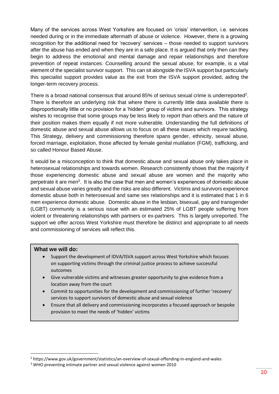Many of the services across West Yorkshire are focused on 'crisis' intervention, i.e. services needed during or in the immediate aftermath of abuse or violence. However, there is a growing recognition for the additional need for 'recovery' services – those needed to support survivors after the abuse has ended and when they are in a safe place. It is argued that only then can they begin to address the emotional and mental damage and repair relationships and therefore prevention of repeat instances. Counselling around the sexual abuse, for example, is a vital element of the specialist survivor support. This can sit alongside the ISVA support but particularly this specialist support provides value as the exit from the ISVA support provided, aiding the longer-term recovery process.

There is a broad national consensus that around 85% of serious sexual crime is underreported<sup>2</sup>. There is therefore an underlying risk that where there is currently little data available there is disproportionally little or no provision for a 'hidden' group of victims and survivors. This strategy wishes to recognise that some groups may be less likely to report than others and the nature of their position makes them equally if not more vulnerable. Understanding the full definitions of domestic abuse and sexual abuse allows us to focus on all these issues which require tackling. This Strategy, delivery and commissioning therefore spans gender, ethnicity, sexual abuse, forced marriage, exploitation, those affected by female genital mutilation (FGM), trafficking, and so called Honour Based Abuse.

It would be a misconception to think that domestic abuse and sexual abuse only takes place in heterosexual relationships and towards women. Research consistently shows that the majority if those experiencing domestic abuse and sexual abuse are women and the majority who perpetrate it are men<sup>3</sup>. It is also the case that men and women's experiences of domestic abuse and sexual abuse varies greatly and the risks are also different. Victims and survivors experience domestic abuse both in heterosexual and same sex relationships and it is estimated that 1 in 6 men experience domestic abuse. Domestic abuse in the lesbian, bisexual, gay and transgender (LGBT) community is a serious issue with an estimated 25% of LGBT people suffering from violent or threatening relationships with partners or ex-partners. This is largely unreported. The support we offer across West Yorkshire must therefore be distinct and appropriate to all needs and commissioning of services will reflect this.

## **What we will do:**

l

- Support the development of IDVA/ISVA support across West Yorkshire which focuses on supporting victims through the criminal justice process to achieve successful outcomes
- Give vulnerable victims and witnesses greater opportunity to give evidence from a location away from the court
- Commit to opportunities for the development and commissioning of further 'recovery' services to support survivors of domestic abuse and sexual violence
- Ensure that all delivery and commissioning incorporates a focused approach or bespoke provision to meet the needs of 'hidden' victims

<sup>2</sup> https://www.gov.uk/government/statistics/an-overview-of-sexual-offending-in-england-and-wales

<sup>&</sup>lt;sup>3</sup> WHO preventing intimate partner and sexual violence against women 2010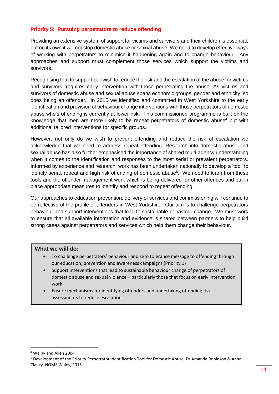# **Priority 5: Pursuing perpetrators to reduce offending**

Providing an extensive system of support for victims and survivors and their children is essential, but on its own it will not stop domestic abuse or sexual abuse. We need to develop effective ways of working with perpetrators to minimise it happening again and to change behaviour. Any approaches and support must complement those services which support the victims and survivors.

Recognising that to support our wish to reduce the risk and the escalation of the abuse for victims and survivors, requires early intervention with those perpetrating the abuse. As victims and survivors of domestic abuse and sexual abuse spans economic groups, gender and ethnicity, so does being an offender. In 2015 we identified and committed in West Yorkshire to the early identification and provision of behaviour change interventions with those perpetrators of domestic abuse who's offending is currently at lower risk. This commissioned programme is built on the knowledge that men are more likely to be repeat perpetrators of domestic abuse<sup>4</sup> but with additional tailored interventions for specific groups.

However, not only do we wish to prevent offending and reduce the risk of escalation we acknowledge that we need to address repeat offending. Research into domestic abuse and sexual abuse has also further emphasised the importance of shared multi-agency understanding when it comes to the identification and responses to the most serial or prevalent perpetrators. Informed by experience and research, work has been undertaken nationally to develop a 'tool' to identify serial, repeat and high risk offending of domestic abuse<sup>5</sup>. We need to learn from these tools and the offender management work which is being delivered for other offences and put in place appropriate measures to identify and respond to repeat offending.

Our approaches to education prevention, delivery of services and commissioning will continue to be reflective of the profile of offenders in West Yorkshire. Our aim is to challenge perpetrators behaviour and support interventions that lead to sustainable behaviour change. We must work to ensure that all available information and evidence is shared between partners to help build strong cases against perpetrators and services which help them change their behaviour.

## **What we will do:**

- To challenge perpetrators' behaviour and zero tolerance message to offending through our education, prevention and awareness campaigns (Priority 1)
- Support interventions that lead to sustainable behaviour change of perpetrators of domestic abuse and sexual violence – particularly those that focus on early intervention work
- Ensure mechanisms for identifying offenders and undertaking offending risk assessments to reduce escalation

l

<sup>4</sup> Walby and Allen 2004

<sup>5</sup> Development of the Priority Perpetrator Identification Tool for Domestic Abuse, Dr Amanda Robinson & Anna Clancy, NOMS Wales, 2015